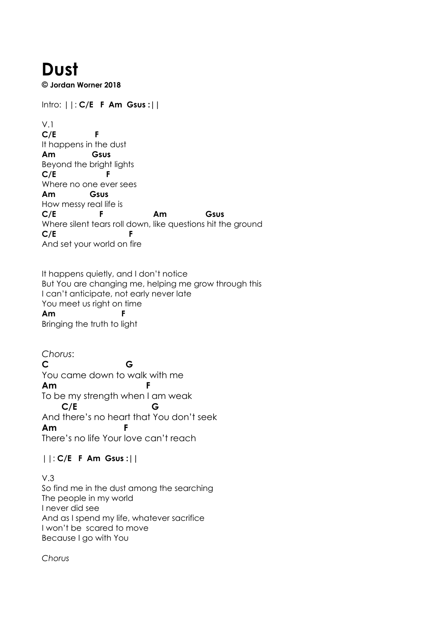## **Dust**

**© Jordan Worner 2018**

Intro: ||: **C/E F Am Gsus :||**

V.1 **C/E F** It happens in the dust **Am Gsus** Beyond the bright lights **C/E F** Where no one ever sees **Am Gsus** How messy real life is **C/E F Am Gsus** Where silent tears roll down, like questions hit the ground **C/E F** And set your world on fire

It happens quietly, and I don't notice But You are changing me, helping me grow through this I can't anticipate, not early never late You meet us right on time **Am F** Bringing the truth to light

*Chorus*: **C G** You came down to walk with me **Am F** To be my strength when I am weak **C/E G** And there's no heart that You don't seek **Am** There's no life Your love can't reach

||: **C/E F Am Gsus :||**

V.3 So find me in the dust among the searching The people in my world I never did see And as I spend my life, whatever sacrifice I won't be scared to move Because I go with You

*Chorus*